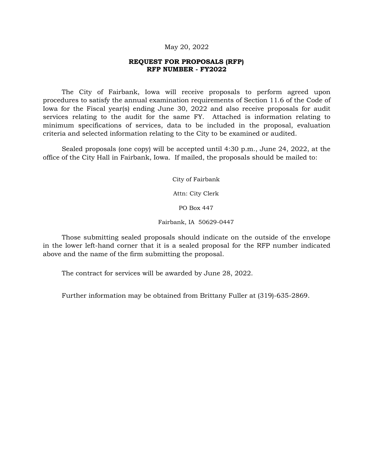#### May 20, 2022

#### **REQUEST FOR PROPOSALS (RFP) RFP NUMBER - FY2022**

The City of Fairbank, Iowa will receive proposals to perform agreed upon procedures to satisfy the annual examination requirements of Section 11.6 of the Code of Iowa for the Fiscal year(s) ending June 30, 2022 and also receive proposals for audit services relating to the audit for the same FY. Attached is information relating to minimum specifications of services, data to be included in the proposal, evaluation criteria and selected information relating to the City to be examined or audited.

Sealed proposals (one copy) will be accepted until 4:30 p.m., June 24, 2022, at the office of the City Hall in Fairbank, Iowa. If mailed, the proposals should be mailed to:

City of Fairbank

Attn: City Clerk

PO Box 447

Fairbank, IA 50629-0447

Those submitting sealed proposals should indicate on the outside of the envelope in the lower left-hand corner that it is a sealed proposal for the RFP number indicated above and the name of the firm submitting the proposal.

The contract for services will be awarded by June 28, 2022.

Further information may be obtained from Brittany Fuller at (319)-635-2869.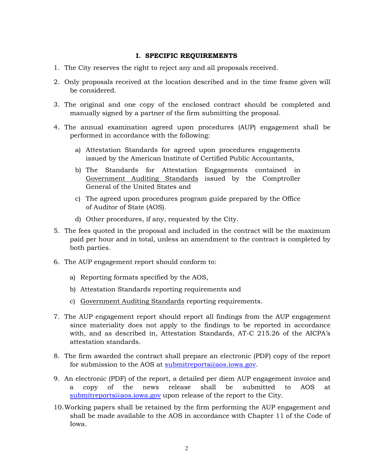### **I. SPECIFIC REQUIREMENTS**

- 1. The City reserves the right to reject any and all proposals received.
- 2. Only proposals received at the location described and in the time frame given will be considered.
- 3. The original and one copy of the enclosed contract should be completed and manually signed by a partner of the firm submitting the proposal.
- 4. The annual examination agreed upon procedures (AUP) engagement shall be performed in accordance with the following:
	- a) Attestation Standards for agreed upon procedures engagements issued by the American Institute of Certified Public Accountants,
	- b) The Standards for Attestation Engagements contained in Government Auditing Standards issued by the Comptroller General of the United States and
	- c) The agreed upon procedures program guide prepared by the Office of Auditor of State (AOS).
	- d) Other procedures, if any, requested by the City.
- 5. The fees quoted in the proposal and included in the contract will be the maximum paid per hour and in total, unless an amendment to the contract is completed by both parties.
- 6. The AUP engagement report should conform to:
	- a) Reporting formats specified by the AOS,
	- b) Attestation Standards reporting requirements and
	- c) Government Auditing Standards reporting requirements.
- 7. The AUP engagement report should report all findings from the AUP engagement since materiality does not apply to the findings to be reported in accordance with, and as described in, Attestation Standards, AT-C 215.26 of the AICPA's attestation standards.
- 8. The firm awarded the contract shall prepare an electronic (PDF) copy of the report for submission to the AOS at [submitreports@aos.iowa.gov.](mailto:submitreports@aos.iowa.gov)
- 9. An electronic (PDF) of the report, a detailed per diem AUP engagement invoice and a copy of the news release shall be submitted to AOS at [submitreports@aos.iowa.gov](mailto:submitreports@aos.iowa.gov) upon release of the report to the City.
- 10.Working papers shall be retained by the firm performing the AUP engagement and shall be made available to the AOS in accordance with Chapter 11 of the Code of Iowa.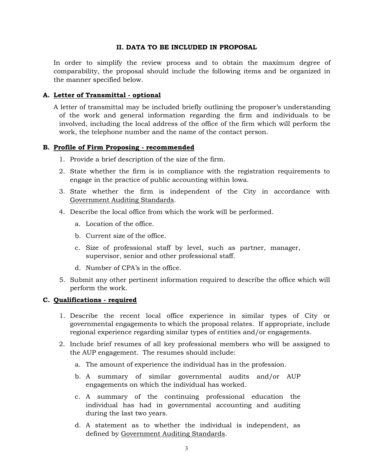# **II. DATA TO BE INCLUDED IN PROPOSAL**

In order to simplify the review process and to obtain the maximum degree of comparability, the proposal should include the following items and be organized in the manner specified below.

# **A. Letter of Transmittal - optional**

A letter of transmittal may be included briefly outlining the proposer's understanding of the work and general information regarding the firm and individuals to be involved, including the local address of the office of the firm which will perform the work, the telephone number and the name of the contact person.

### **B. Profile of Firm Proposing - recommended**

- 1. Provide a brief description of the size of the firm.
- 2. State whether the firm is in compliance with the registration requirements to engage in the practice of public accounting within Iowa.
- 3. State whether the firm is independent of the City in accordance with Government Auditing Standards.
- 4. Describe the local office from which the work will be performed.
	- a. Location of the office.
	- b. Current size of the office.
	- c. Size of professional staff by level, such as partner, manager, supervisor, senior and other professional staff.
	- d. Number of CPA's in the office.
- 5. Submit any other pertinent information required to describe the office which will perform the work.

### **C. Qualifications - required**

- 1. Describe the recent local office experience in similar types of City or governmental engagements to which the proposal relates. If appropriate, include regional experience regarding similar types of entities and/or engagements.
- 2. Include brief resumes of all key professional members who will be assigned to the AUP engagement. The resumes should include:
	- a. The amount of experience the individual has in the profession.
	- b. A summary of similar governmental audits and/or AUP engagements on which the individual has worked.
	- c. A summary of the continuing professional education the individual has had in governmental accounting and auditing during the last two years.
	- d. A statement as to whether the individual is independent, as defined by Government Auditing Standards.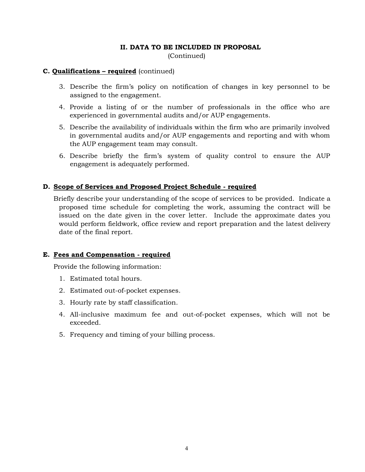# **II. DATA TO BE INCLUDED IN PROPOSAL**

(Continued)

#### **C. Qualifications – required** (continued)

- 3. Describe the firm's policy on notification of changes in key personnel to be assigned to the engagement.
- 4. Provide a listing of or the number of professionals in the office who are experienced in governmental audits and/or AUP engagements.
- 5. Describe the availability of individuals within the firm who are primarily involved in governmental audits and/or AUP engagements and reporting and with whom the AUP engagement team may consult.
- 6. Describe briefly the firm's system of quality control to ensure the AUP engagement is adequately performed.

### **D. Scope of Services and Proposed Project Schedule - required**

Briefly describe your understanding of the scope of services to be provided. Indicate a proposed time schedule for completing the work, assuming the contract will be issued on the date given in the cover letter. Include the approximate dates you would perform fieldwork, office review and report preparation and the latest delivery date of the final report.

#### **E. Fees and Compensation - required**

Provide the following information:

- 1. Estimated total hours.
- 2. Estimated out-of-pocket expenses.
- 3. Hourly rate by staff classification.
- 4. All-inclusive maximum fee and out-of-pocket expenses, which will not be exceeded.
- 5. Frequency and timing of your billing process.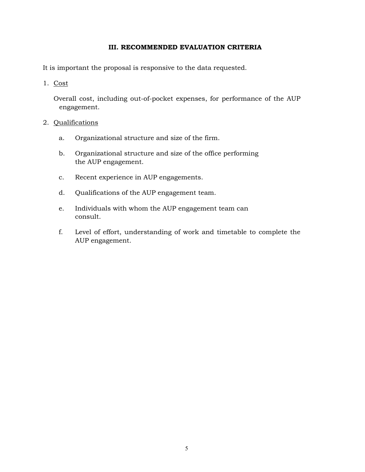# **III. RECOMMENDED EVALUATION CRITERIA**

It is important the proposal is responsive to the data requested.

1. Cost

Overall cost, including out-of-pocket expenses, for performance of the AUP engagement.

### 2. Qualifications

- a. Organizational structure and size of the firm.
- b. Organizational structure and size of the office performing the AUP engagement.
- c. Recent experience in AUP engagements.
- d. Qualifications of the AUP engagement team.
- e. Individuals with whom the AUP engagement team can consult.
- f. Level of effort, understanding of work and timetable to complete the AUP engagement.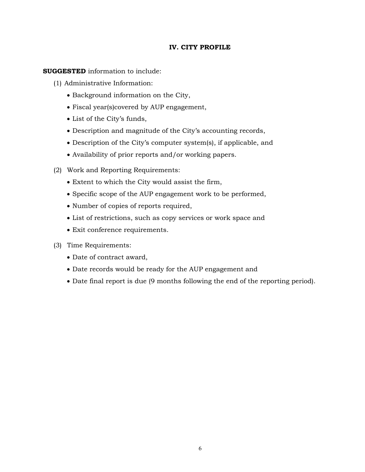# **IV. CITY PROFILE**

**SUGGESTED** information to include:

- (1) Administrative Information:
	- Background information on the City,
	- Fiscal year(s)covered by AUP engagement,
	- List of the City's funds,
	- Description and magnitude of the City's accounting records,
	- Description of the City's computer system(s), if applicable, and
	- Availability of prior reports and/or working papers.
- (2) Work and Reporting Requirements:
	- Extent to which the City would assist the firm,
	- Specific scope of the AUP engagement work to be performed,
	- Number of copies of reports required,
	- List of restrictions, such as copy services or work space and
	- Exit conference requirements.
- (3) Time Requirements:
	- Date of contract award,
	- Date records would be ready for the AUP engagement and
	- Date final report is due (9 months following the end of the reporting period).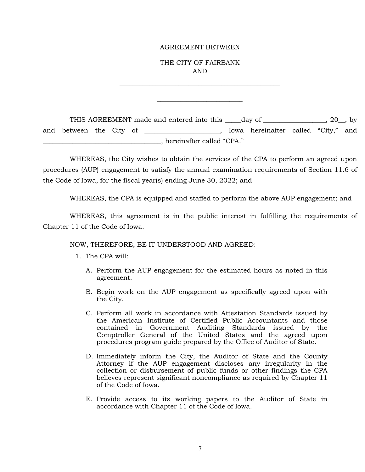#### AGREEMENT BETWEEN

THE CITY OF FAIRBANK AND

\_\_\_\_\_\_\_\_\_\_\_\_\_\_\_\_\_\_\_\_\_\_\_\_\_\_\_\_\_\_\_\_\_\_\_\_\_\_\_\_\_\_\_\_\_\_\_\_\_

\_\_\_\_\_\_\_\_\_\_\_\_\_\_\_\_\_\_\_\_\_\_\_\_\_\_

THIS AGREEMENT made and entered into this day of  $\qquad \qquad$  . 20, by and between the City of \_\_\_\_\_\_\_\_\_\_\_\_\_\_\_\_\_, Iowa hereinafter called "City," and \_\_\_\_\_\_\_\_\_\_\_\_\_\_\_\_\_\_\_\_\_\_\_\_\_\_\_\_\_\_\_\_\_\_\_\_, hereinafter called "CPA."

WHEREAS, the City wishes to obtain the services of the CPA to perform an agreed upon procedures (AUP) engagement to satisfy the annual examination requirements of Section 11.6 of the Code of Iowa, for the fiscal year(s) ending June 30, 2022; and

WHEREAS, the CPA is equipped and staffed to perform the above AUP engagement; and

WHEREAS, this agreement is in the public interest in fulfilling the requirements of Chapter 11 of the Code of Iowa.

#### NOW, THEREFORE, BE IT UNDERSTOOD AND AGREED:

- 1. The CPA will:
	- A. Perform the AUP engagement for the estimated hours as noted in this agreement.
	- B. Begin work on the AUP engagement as specifically agreed upon with the City.
	- C. Perform all work in accordance with Attestation Standards issued by the American Institute of Certified Public Accountants and those contained in Government Auditing Standards issued by the Comptroller General of the United States and the agreed upon procedures program guide prepared by the Office of Auditor of State.
	- D. Immediately inform the City, the Auditor of State and the County Attorney if the AUP engagement discloses any irregularity in the collection or disbursement of public funds or other findings the CPA believes represent significant noncompliance as required by Chapter 11 of the Code of Iowa.
	- E. Provide access to its working papers to the Auditor of State in accordance with Chapter 11 of the Code of Iowa.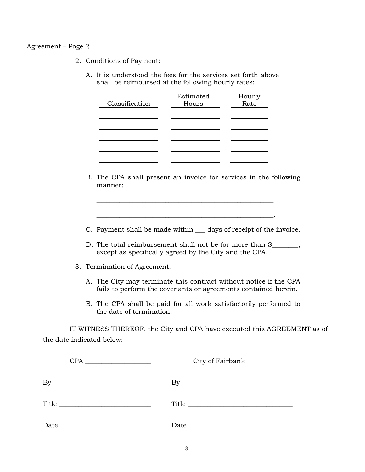#### Agreement – Page 2

- 2. Conditions of Payment:
	- A. It is understood the fees for the services set forth above shall be reimbursed at the following hourly rates:

| Classification | Estimated<br>Hours | Hourly<br>Rate |
|----------------|--------------------|----------------|
|                |                    |                |
|                |                    |                |
|                |                    |                |

- B. The CPA shall present an invoice for services in the following manner: \_\_\_\_\_\_\_\_\_\_\_\_\_\_\_\_\_\_\_\_\_\_\_\_\_\_\_\_\_\_\_\_\_\_\_\_\_\_\_\_\_\_\_\_\_
- C. Payment shall be made within \_\_\_ days of receipt of the invoice.

\_\_\_\_\_\_\_\_\_\_\_\_\_\_\_\_\_\_\_\_\_\_\_\_\_\_\_\_\_\_\_\_\_\_\_\_\_\_\_\_\_\_\_\_\_\_\_\_\_\_\_\_\_\_.

- D. The total reimbursement shall not be for more than \$\_\_\_\_\_\_, except as specifically agreed by the City and the CPA.
- 3. Termination of Agreement:
	- A. The City may terminate this contract without notice if the CPA fails to perform the covenants or agreements contained herein.
	- B. The CPA shall be paid for all work satisfactorily performed to the date of termination.

IT WITNESS THEREOF, the City and CPA have executed this AGREEMENT as of the date indicated below:

|                                      | City of Fairbank        |
|--------------------------------------|-------------------------|
|                                      | $\mathbf{B} \mathbf{y}$ |
| $\text{Title} \quad \text{________}$ | Title                   |
|                                      |                         |